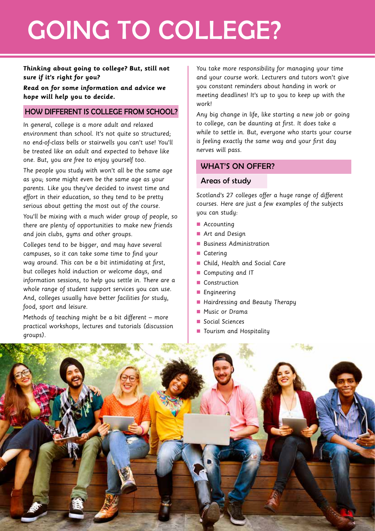# GOING TO COLLEGE?

## **Thinking about going to college? But, still not sure if it's right for you?**

**Read on for some information and advice we hope will help you to decide.**

# HOW DIFFERENT IS COLLEGE FROM SCHOOL?

In general, college is a more adult and relaxed environment than school. It's not quite so structured; no end-of-class bells or stairwells you can't use! You'll be treated like an adult and expected to behave like one. But, you are free to enjoy yourself too.

The people you study with won't all be the same age as you; some might even be the same age as your parents. Like you they've decided to invest time and effort in their education, so they tend to be pretty serious about getting the most out of the course. You'll be mixing with a much wider group of people, so there are plenty of opportunities to make new friends

and join clubs, gyms and other groups.

Colleges tend to be bigger, and may have several campuses, so it can take some time to find your way around. This can be a bit intimidating at first, but colleges hold induction or welcome days, and information sessions, to help you settle in. There are a whole range of student support services you can use. And, colleges usually have better facilities for study, food, sport and leisure.

Methods of teaching might be a bit different – more practical workshops, lectures and tutorials (discussion groups).

You take more responsibility for managing your time and your course work. Lecturers and tutors won't give you constant reminders about handing in work or meeting deadlines! It's up to you to keep up with the work!

Any big change in life, like starting a new job or going to college, can be daunting at first. It does take a while to settle in. But, everyone who starts your course is feeling exactly the same way and your first day nerves will pass.

# WHAT'S ON OFFER?

## Areas of study

Scotland's 27 colleges offer a huge range of different courses. Here are just a few examples of the subjects you can study:

- $\blacksquare$  Accounting
- **n** Art and Design
- **n** Business Administration
- Caterina
- Child, Health and Social Care
- Computing and IT
- Construction
- **n** Engineering
- Hairdressing and Beauty Therapy
- **n** Music or Drama
- Social Sciences
- Tourism and Hospitality

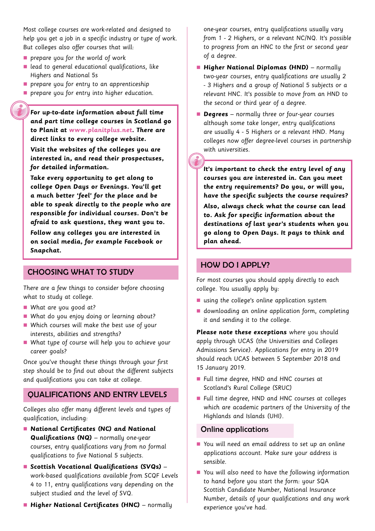Most college courses are work-related and designed to help you get a job in a specific industry or type of work. But colleges also offer courses that will:

- $\blacksquare$  prepare you for the world of work
- $\blacksquare$  lead to general educational qualifications, like Highers and National 5s
- $\blacksquare$  prepare you for entry to an apprenticeship
- **n** prepare you for entry into higher education.

**For up-to-date information about full time and part time college courses in Scotland go to Planit at www.planitplus.net. There are direct links to every college website.** 

**Visit the websites of the colleges you are interested in, and read their prospectuses, for detailed information.** 

**Take every opportunity to get along to college Open Days or Evenings. You'll get a much better 'feel' for the place and be able to speak directly to the people who are responsible for individual courses. Don't be afraid to ask questions, they want you to.** 

**Follow any colleges you are interested in on social media, for example Facebook or Snapchat.** 

## CHOOSING WHAT TO STUDY

There are a few things to consider before choosing what to study at college.

- $\blacksquare$  What are you good at?
- What do you enjoy doing or learning about?
- Which courses will make the best use of your interests, abilities and strengths?
- $\blacksquare$  What type of course will help you to achieve your career goals?

Once you've thought these things through your first step should be to find out about the different subjects and qualifications you can take at college.

## QUALIFICATIONS AND ENTRY LEVELS

Colleges also offer many different levels and types of qualification, including:

- n **National Certificates (NC) and National Qualifications (NQ)** – normally one-year courses, entry qualifications vary from no formal qualifications to five National 5 subjects.
- Scottish Vocational Qualifications (SVQs) work-based qualifications available from SCQF Levels 4 to 11, entry qualifications vary depending on the subject studied and the level of SVQ.
- **n** Higher National Certificates (HNC) normally

one-year courses, entry qualifications usually vary from 1 - 2 Highers, or a relevant NC/NQ. It's possible to progress from an HNC to the first or second year of a degree.

- **n** Higher National Diplomas (HND) normally two-year courses, entry qualifications are usually 2 - 3 Highers and a group of National 5 subjects or a relevant HNC. It's possible to move from an HND to the second or third year of a degree.
- **Degrees** normally three or four-year courses although some take longer, entry qualifications are usually 4 - 5 Highers or a relevant HND. Many colleges now offer degree-level courses in partnership with universities.

**It's important to check the entry level of any courses you are interested in. Can you meet the entry requirements? Do you, or will you, have the specific subjects the course requires? Also, always check what the course can lead to. Ask for specific information about the destinations of last year's students when you go along to Open Days. It pays to think and plan ahead.** 

#### HOW DO I APPLY?

For most courses you should apply directly to each college. You usually apply by:

- $\blacksquare$  using the college's online application system
- $\blacksquare$  downloading an online application form, completing it and sending it to the college.

**Please note these exceptions** where you should apply through UCAS (the Universities and Colleges Admissions Service). Applications for entry in 2019 should reach UCAS between 5 September 2018 and 15 January 2019.

- Full time degree, HND and HNC courses at Scotland's Rural College (SRUC)
- Full time degree, HND and HNC courses at colleges which are academic partners of the University of the Highlands and Islands (UHI).

#### Online applications

- You will need an email address to set up an online applications account. Make sure your address is sensible.
- $\blacksquare$  You will also need to have the following information to hand before you start the form: your SQA Scottish Candidate Number, National Insurance Number, details of your qualifications and any work experience you've had.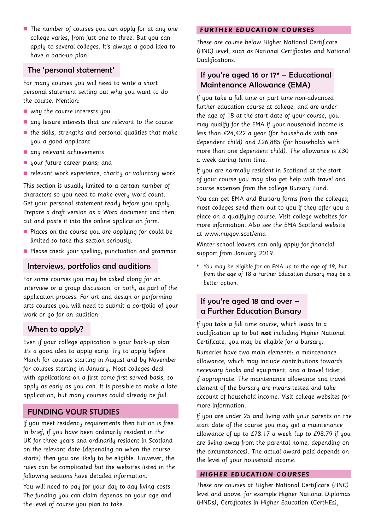■ The number of courses you can apply for at any one college varies, from just one to three. But you can apply to several colleges. It's always a good idea to have a back-up plan!

## The 'personal statement'

For many courses you will need to write a short personal statement setting out why you want to do the course. Mention:

- $\blacksquare$  why the course interests you
- $\blacksquare$  any leisure interests that are relevant to the course
- $\blacksquare$  the skills, strengths and personal qualities that make you a good applicant
- $\blacksquare$  any relevant achievements
- u your future career plans; and
- $\blacksquare$  relevant work experience, charity or voluntary work.

This section is usually limited to a certain number of characters so you need to make every word count. Get your personal statement ready before you apply. Prepare a draft version as a Word document and then cut and paste it into the online application form.

- **n** Places on the course you are applying for could be limited so take this section seriously.
- **n** Please check your spelling, punctuation and grammar.

#### Interviews, portfolios and auditions

For some courses you may be asked along for an interview or a group discussion, or both, as part of the application process. For art and design or performing arts courses you will need to submit a portfolio of your work or go for an audition.

## When to apply?

Even if your college application is your back-up plan it's a good idea to apply early. Try to apply before March for courses starting in August and by November for courses starting in January. Most colleges deal with applications on a first come first served basis, so apply as early as you can. It is possible to make a late application, but many courses could already be full.

# FUNDING YOUR STUDIES

If you meet residency requirements then tuition is free. In brief, if you have been ordinarily resident in the UK for three years and ordinarily resident in Scotland on the relevant date (depending on when the course starts) then you are likely to be eligible. However, the rules can be complicated but the websites listed in the following sections have detailed information.

You will need to pay for your day-to-day living costs. The funding you can claim depends on your age and the level of course you plan to take.

#### **FURTHER EDUCATION COURSES**

These are course below Higher National Certificate (HNC) level, such as National Certificates and National Qualifications.

# If you're aged 16 or  $17*$  – Educational Maintenance Allowance (EMA)

If you take a full time or part time non-advanced further education course at college, and are under the age of 18 at the start date of your course, you may qualify for the EMA if your household income is less than £24,422 a year (for households with one dependent child) and £26,885 (for households with more than one dependent child). The allowance is £30 a week during term time.

If you are normally resident in Scotland at the start of your course you may also get help with travel and course expenses from the college Bursary Fund.

You can get EMA and Bursary forms from the colleges; most colleges send them out to you if they offer you a place on a qualifying course. Visit college websites for more information. Also see the EMA Scotland website at www.mygov.scot/ema

Winter school leavers can only apply for financial support from January 2019.

\* You may be eligible for an EMA up to the age of 19, but from the age of 18 a Further Education Bursary may be a better option.

# If you're aged 18 and over – a Further Education Bursary

If you take a full time course, which leads to a qualification up to but **not** including Higher National Certificate, you may be eligible for a bursary.

Bursaries have two main elements: a maintenance allowance, which may include contributions towards necessary books and equipment, and a travel ticket, if appropriate. The maintenance allowance and travel element of the bursary are means-tested and take account of household income. Visit college websites for more information.

If you are under 25 and living with your parents on the start date of the course you may get a maintenance allowance of up to £78.17 a week (up to £98.79 if you are living away from the parental home, depending on the circumstances). The actual award paid depends on the level of your household income.

#### **HIGHER EDUCATION COURSES**

These are courses at Higher National Certificate (HNC) level and above, for example Higher National Diplomas (HNDs), Certificates in Higher Education (CertHEs),